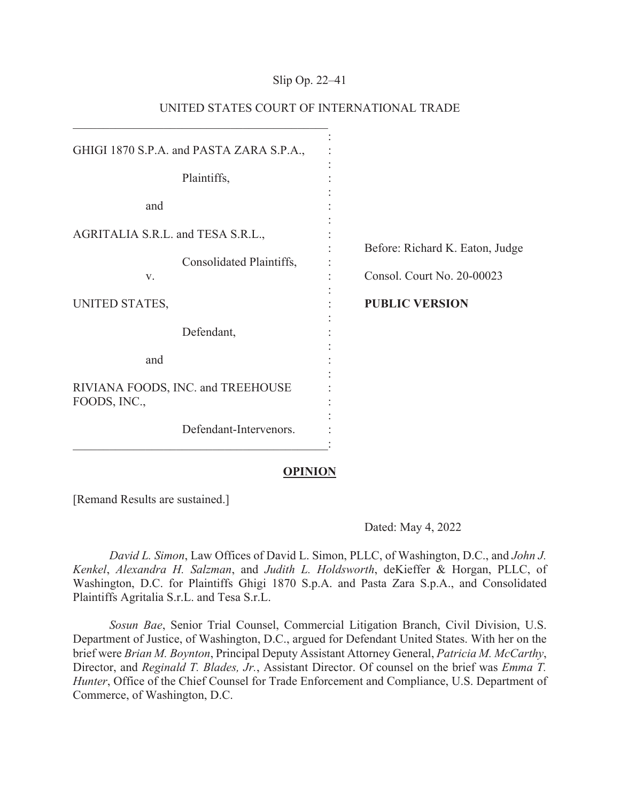## Slip Op. 22–41

| GHIGI 1870 S.P.A. and PASTA ZARA S.P.A.,                            |                                                               |
|---------------------------------------------------------------------|---------------------------------------------------------------|
| Plaintiffs,                                                         |                                                               |
| and                                                                 |                                                               |
| AGRITALIA S.R.L. and TESA S.R.L.,<br>Consolidated Plaintiffs,<br>V. | Before: Richard K. Eaton, Judge<br>Consol. Court No. 20-00023 |
| UNITED STATES,                                                      | <b>PUBLIC VERSION</b>                                         |
| Defendant,                                                          |                                                               |
| and                                                                 |                                                               |
| RIVIANA FOODS, INC. and TREEHOUSE<br>FOODS, INC.,                   |                                                               |
| Defendant-Intervenors.                                              |                                                               |

# UNITED STATES COURT OF INTERNATIONAL TRADE

### **OPINION**

[Remand Results are sustained.]

Dated: May 4, 2022

*David L. Simon*, Law Offices of David L. Simon, PLLC, of Washington, D.C., and *John J. Kenkel*, *Alexandra H. Salzman*, and *Judith L. Holdsworth*, deKieffer & Horgan, PLLC, of Washington, D.C. for Plaintiffs Ghigi 1870 S.p.A. and Pasta Zara S.p.A., and Consolidated Plaintiffs Agritalia S.r.L. and Tesa S.r.L.

 *Sosun Bae*, Senior Trial Counsel, Commercial Litigation Branch, Civil Division, U.S. Department of Justice, of Washington, D.C., argued for Defendant United States. With her on the brief were *Brian M. Boynton*, Principal Deputy Assistant Attorney General, *Patricia M. McCarthy*, Director, and *Reginald T. Blades, Jr.*, Assistant Director. Of counsel on the brief was *Emma T. Hunter*, Office of the Chief Counsel for Trade Enforcement and Compliance, U.S. Department of Commerce, of Washington, D.C.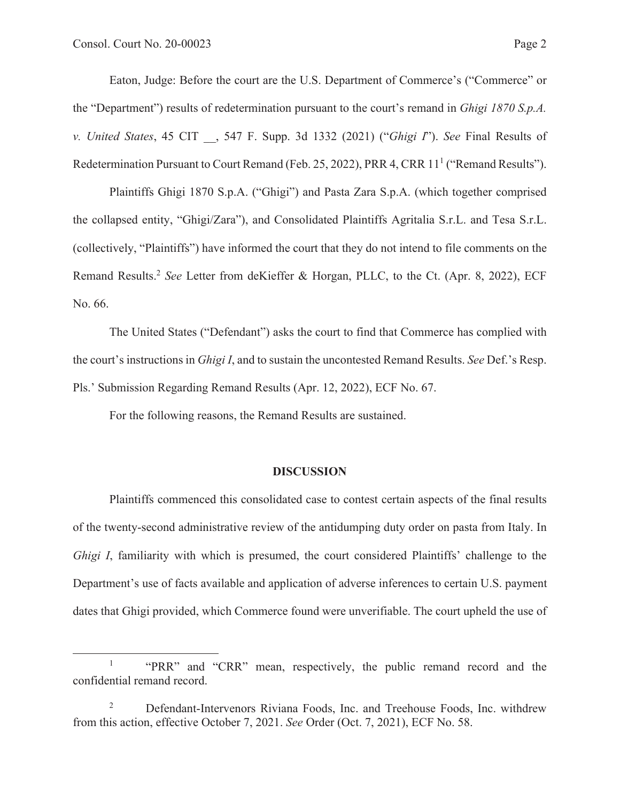Eaton, Judge: Before the court are the U.S. Department of Commerce's ("Commerce" or the "Department") results of redetermination pursuant to the court's remand in *Ghigi 1870 S.p.A. v. United States*, 45 CIT \_\_, 547 F. Supp. 3d 1332 (2021) ("*Ghigi I*"). *See* Final Results of Redetermination Pursuant to Court Remand (Feb. 25, 2022), PRR 4, CRR 11<sup>1</sup> ("Remand Results").

Plaintiffs Ghigi 1870 S.p.A. ("Ghigi") and Pasta Zara S.p.A. (which together comprised the collapsed entity, "Ghigi/Zara"), and Consolidated Plaintiffs Agritalia S.r.L. and Tesa S.r.L. (collectively, "Plaintiffs") have informed the court that they do not intend to file comments on the Remand Results.2 *See* Letter from deKieffer & Horgan, PLLC, to the Ct. (Apr. 8, 2022), ECF No. 66.

The United States ("Defendant") asks the court to find that Commerce has complied with the court's instructions in *Ghigi I*, and to sustain the uncontested Remand Results. *See* Def.'s Resp. Pls.' Submission Regarding Remand Results (Apr. 12, 2022), ECF No. 67.

For the following reasons, the Remand Results are sustained.

#### **DISCUSSION**

 Plaintiffs commenced this consolidated case to contest certain aspects of the final results of the twenty-second administrative review of the antidumping duty order on pasta from Italy. In *Ghigi I*, familiarity with which is presumed, the court considered Plaintiffs' challenge to the Department's use of facts available and application of adverse inferences to certain U.S. payment dates that Ghigi provided, which Commerce found were unverifiable. The court upheld the use of

<sup>1</sup> "PRR" and "CRR" mean, respectively, the public remand record and the confidential remand record.

<sup>2</sup> Defendant-Intervenors Riviana Foods, Inc. and Treehouse Foods, Inc. withdrew from this action, effective October 7, 2021. *See* Order (Oct. 7, 2021), ECF No. 58.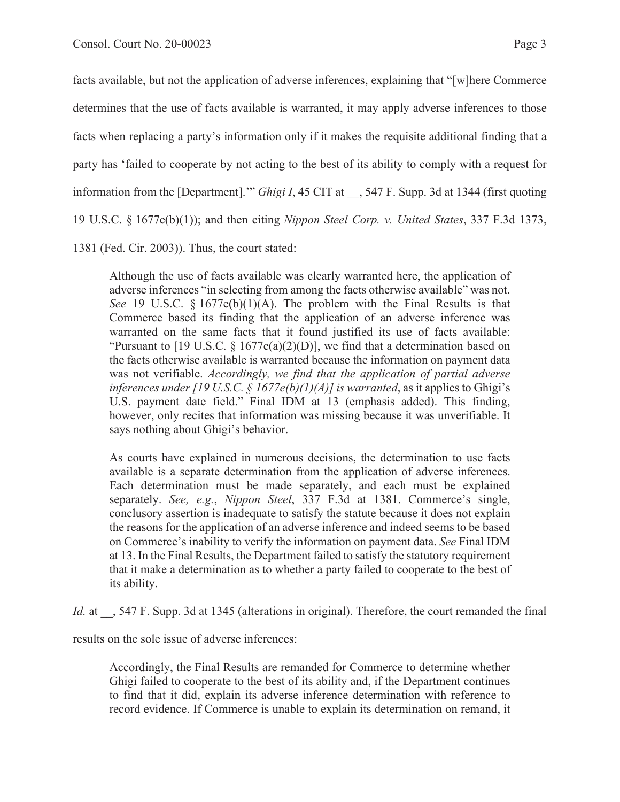facts available, but not the application of adverse inferences, explaining that "[w]here Commerce determines that the use of facts available is warranted, it may apply adverse inferences to those facts when replacing a party's information only if it makes the requisite additional finding that a party has 'failed to cooperate by not acting to the best of its ability to comply with a request for information from the [Department].'" *Ghigi I*, 45 CIT at \_\_, 547 F. Supp. 3d at 1344 (first quoting 19 U.S.C. § 1677e(b)(1)); and then citing *Nippon Steel Corp. v. United States*, 337 F.3d 1373,

1381 (Fed. Cir. 2003)). Thus, the court stated:

Although the use of facts available was clearly warranted here, the application of adverse inferences "in selecting from among the facts otherwise available" was not. *See* 19 U.S.C. § 1677e(b)(1)(A). The problem with the Final Results is that Commerce based its finding that the application of an adverse inference was warranted on the same facts that it found justified its use of facts available: "Pursuant to [19 U.S.C.  $\S 1677e(a)(2)(D)$ ], we find that a determination based on the facts otherwise available is warranted because the information on payment data was not verifiable. *Accordingly, we find that the application of partial adverse inferences under [19 U.S.C. § 1677e(b)(1)(A)] is warranted, as it applies to Ghigi's* U.S. payment date field." Final IDM at 13 (emphasis added). This finding, however, only recites that information was missing because it was unverifiable. It says nothing about Ghigi's behavior.

As courts have explained in numerous decisions, the determination to use facts available is a separate determination from the application of adverse inferences. Each determination must be made separately, and each must be explained separately. *See, e.g.*, *Nippon Steel*, 337 F.3d at 1381. Commerce's single, conclusory assertion is inadequate to satisfy the statute because it does not explain the reasons for the application of an adverse inference and indeed seems to be based on Commerce's inability to verify the information on payment data. *See* Final IDM at 13. In the Final Results, the Department failed to satisfy the statutory requirement that it make a determination as to whether a party failed to cooperate to the best of its ability.

*Id.* at  $\,$ , 547 F. Supp. 3d at 1345 (alterations in original). Therefore, the court remanded the final

results on the sole issue of adverse inferences:

Accordingly, the Final Results are remanded for Commerce to determine whether Ghigi failed to cooperate to the best of its ability and, if the Department continues to find that it did, explain its adverse inference determination with reference to record evidence. If Commerce is unable to explain its determination on remand, it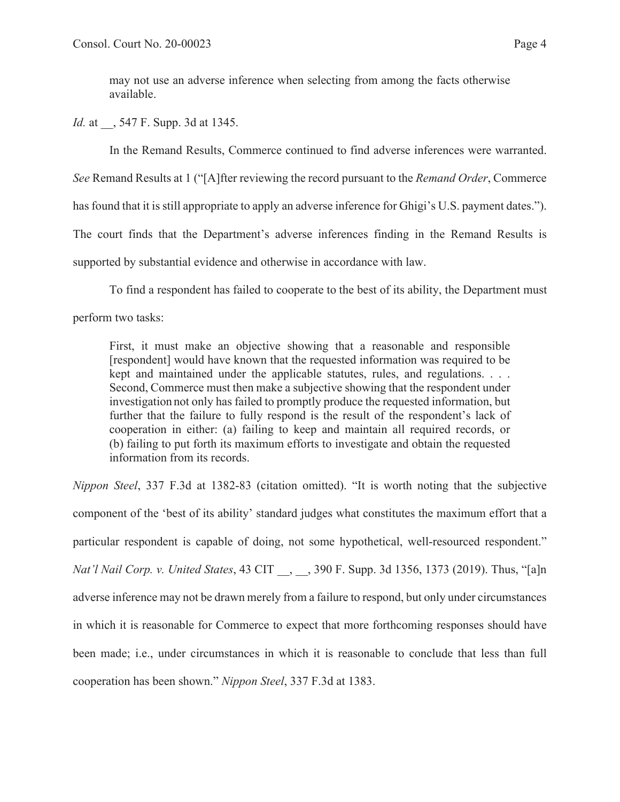may not use an adverse inference when selecting from among the facts otherwise available.

*Id.* at  $\,$ , 547 F. Supp. 3d at 1345.

In the Remand Results, Commerce continued to find adverse inferences were warranted.

*See* Remand Results at 1 ("[A]fter reviewing the record pursuant to the *Remand Order*, Commerce

has found that it is still appropriate to apply an adverse inference for Ghigi's U.S. payment dates.").

The court finds that the Department's adverse inferences finding in the Remand Results is

supported by substantial evidence and otherwise in accordance with law.

To find a respondent has failed to cooperate to the best of its ability, the Department must

perform two tasks:

First, it must make an objective showing that a reasonable and responsible [respondent] would have known that the requested information was required to be kept and maintained under the applicable statutes, rules, and regulations. . . . Second, Commerce must then make a subjective showing that the respondent under investigation not only has failed to promptly produce the requested information, but further that the failure to fully respond is the result of the respondent's lack of cooperation in either: (a) failing to keep and maintain all required records, or (b) failing to put forth its maximum efforts to investigate and obtain the requested information from its records.

*Nippon Steel*, 337 F.3d at 1382-83 (citation omitted). "It is worth noting that the subjective component of the 'best of its ability' standard judges what constitutes the maximum effort that a particular respondent is capable of doing, not some hypothetical, well-resourced respondent." *Nat'l Nail Corp. v. United States*, 43 CIT \_\_, \_\_, 390 F. Supp. 3d 1356, 1373 (2019). Thus, "[a]n adverse inference may not be drawn merely from a failure to respond, but only under circumstances in which it is reasonable for Commerce to expect that more forthcoming responses should have been made; i.e., under circumstances in which it is reasonable to conclude that less than full cooperation has been shown." *Nippon Steel*, 337 F.3d at 1383.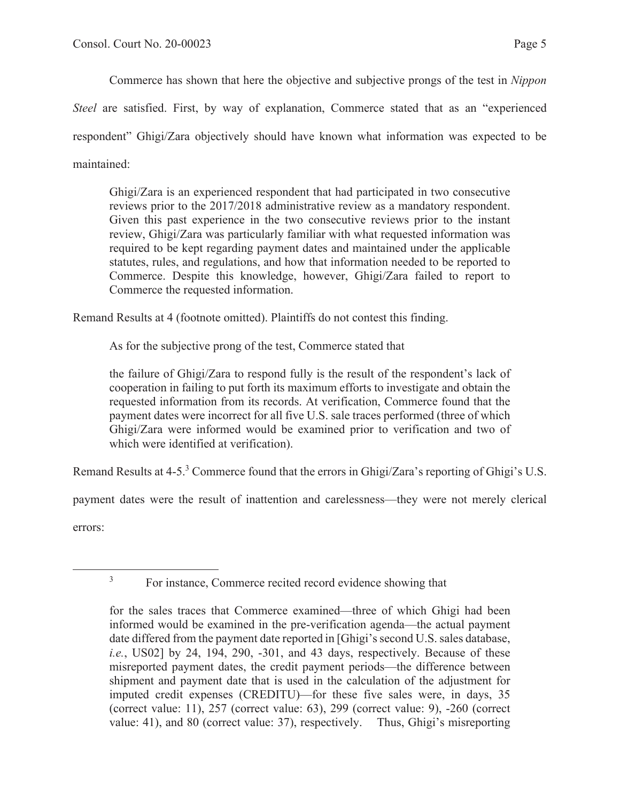Commerce has shown that here the objective and subjective prongs of the test in *Nippon* 

*Steel* are satisfied. First, by way of explanation, Commerce stated that as an "experienced respondent" Ghigi/Zara objectively should have known what information was expected to be maintained:

Ghigi/Zara is an experienced respondent that had participated in two consecutive reviews prior to the 2017/2018 administrative review as a mandatory respondent. Given this past experience in the two consecutive reviews prior to the instant review, Ghigi/Zara was particularly familiar with what requested information was required to be kept regarding payment dates and maintained under the applicable statutes, rules, and regulations, and how that information needed to be reported to Commerce. Despite this knowledge, however, Ghigi/Zara failed to report to Commerce the requested information.

Remand Results at 4 (footnote omitted). Plaintiffs do not contest this finding.

As for the subjective prong of the test, Commerce stated that

the failure of Ghigi/Zara to respond fully is the result of the respondent's lack of cooperation in failing to put forth its maximum efforts to investigate and obtain the requested information from its records. At verification, Commerce found that the payment dates were incorrect for all five U.S. sale traces performed (three of which Ghigi/Zara were informed would be examined prior to verification and two of which were identified at verification).

Remand Results at 4-5.<sup>3</sup> Commerce found that the errors in Ghigi/Zara's reporting of Ghigi's U.S.

payment dates were the result of inattention and carelessness—they were not merely clerical

errors:

<sup>3</sup>

For instance, Commerce recited record evidence showing that

for the sales traces that Commerce examined—three of which Ghigi had been informed would be examined in the pre-verification agenda—the actual payment date differed from the payment date reported in [Ghigi's second U.S. sales database, *i.e.*, US02] by 24, 194, 290, -301, and 43 days, respectively. Because of these misreported payment dates, the credit payment periods—the difference between shipment and payment date that is used in the calculation of the adjustment for imputed credit expenses (CREDITU)—for these five sales were, in days, 35 (correct value: 11), 257 (correct value: 63), 299 (correct value: 9), -260 (correct value: 41), and 80 (correct value: 37), respectively. Thus, Ghigi's misreporting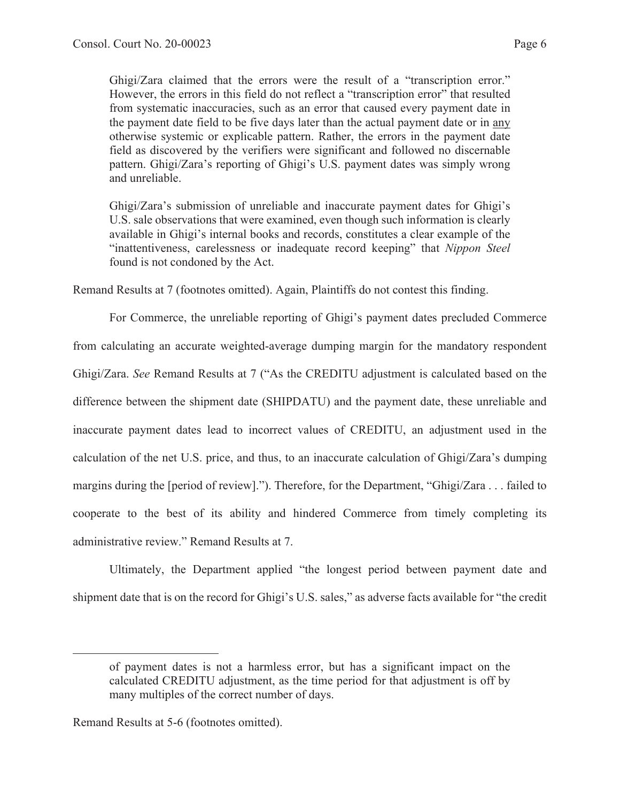Ghigi/Zara claimed that the errors were the result of a "transcription error." However, the errors in this field do not reflect a "transcription error" that resulted from systematic inaccuracies, such as an error that caused every payment date in the payment date field to be five days later than the actual payment date or in any otherwise systemic or explicable pattern. Rather, the errors in the payment date field as discovered by the verifiers were significant and followed no discernable pattern. Ghigi/Zara's reporting of Ghigi's U.S. payment dates was simply wrong and unreliable.

Ghigi/Zara's submission of unreliable and inaccurate payment dates for Ghigi's U.S. sale observations that were examined, even though such information is clearly available in Ghigi's internal books and records, constitutes a clear example of the "inattentiveness, carelessness or inadequate record keeping" that *Nippon Steel* found is not condoned by the Act.

Remand Results at 7 (footnotes omitted). Again, Plaintiffs do not contest this finding.

For Commerce, the unreliable reporting of Ghigi's payment dates precluded Commerce from calculating an accurate weighted-average dumping margin for the mandatory respondent Ghigi/Zara. *See* Remand Results at 7 ("As the CREDITU adjustment is calculated based on the difference between the shipment date (SHIPDATU) and the payment date, these unreliable and inaccurate payment dates lead to incorrect values of CREDITU, an adjustment used in the calculation of the net U.S. price, and thus, to an inaccurate calculation of Ghigi/Zara's dumping margins during the [period of review]."). Therefore, for the Department, "Ghigi/Zara . . . failed to cooperate to the best of its ability and hindered Commerce from timely completing its administrative review." Remand Results at 7.

Ultimately, the Department applied "the longest period between payment date and shipment date that is on the record for Ghigi's U.S. sales," as adverse facts available for "the credit

of payment dates is not a harmless error, but has a significant impact on the calculated CREDITU adjustment, as the time period for that adjustment is off by many multiples of the correct number of days.

Remand Results at 5-6 (footnotes omitted).